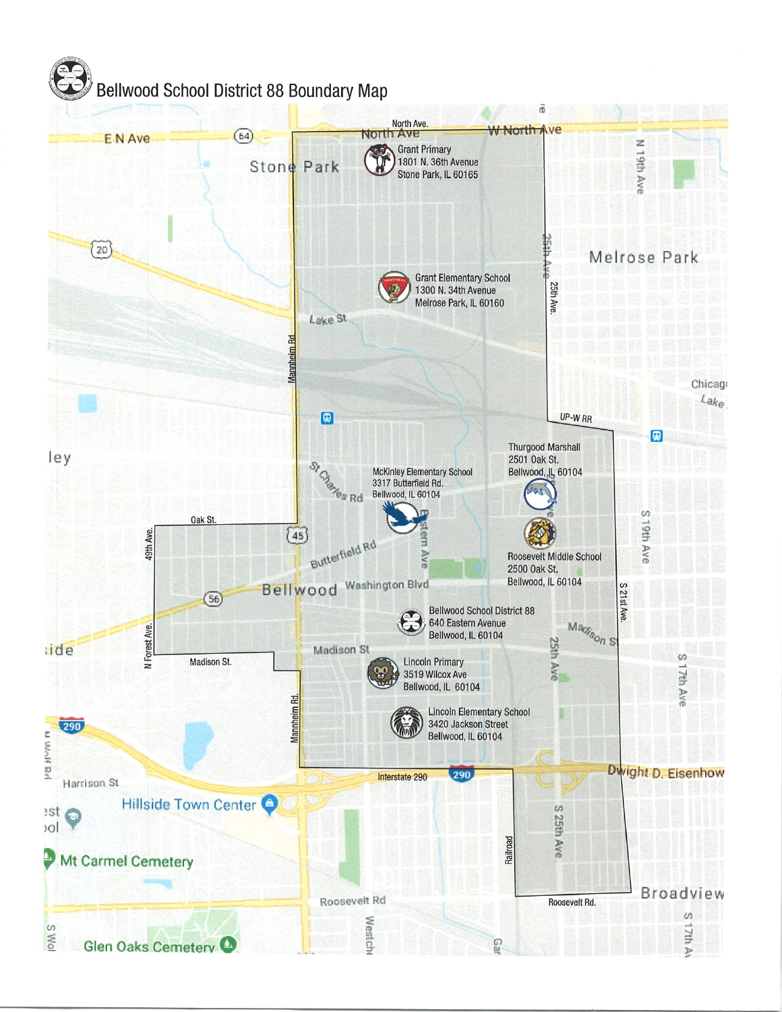## Bellwood School District 88 Boundary Map

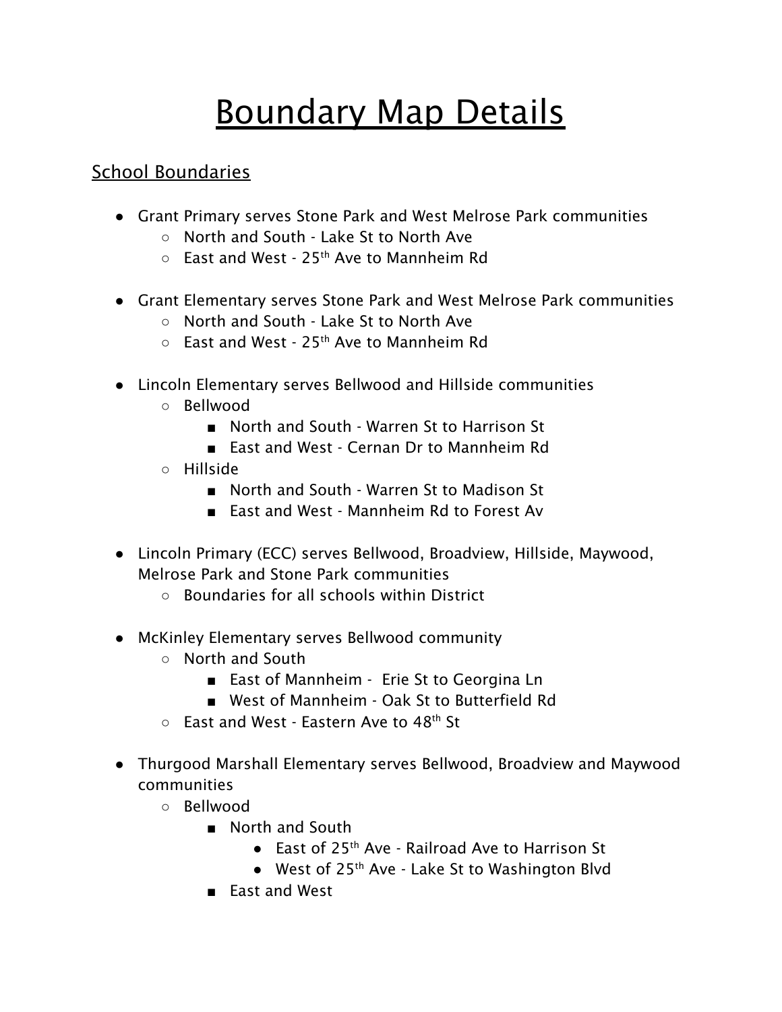## Boundary Map Details

## School Boundaries

- Grant Primary serves Stone Park and West Melrose Park communities
	- North and South Lake St to North Ave
	- $\circ$  East and West 25<sup>th</sup> Ave to Mannheim Rd
- Grant Elementary serves Stone Park and West Melrose Park communities
	- North and South Lake St to North Ave
	- $\circ$  East and West 25<sup>th</sup> Ave to Mannheim Rd
- Lincoln Elementary serves Bellwood and Hillside communities
	- Bellwood
		- North and South Warren St to Harrison St
		- East and West Cernan Dr to Mannheim Rd
	- Hillside
		- North and South Warren St to Madison St
		- East and West Mannheim Rd to Forest Av
- Lincoln Primary (ECC) serves Bellwood, Broadview, Hillside, Maywood, Melrose Park and Stone Park communities
	- Boundaries for all schools within District
- McKinley Elementary serves Bellwood community
	- North and South
		- East of Mannheim Erie St to Georgina Ln
		- West of Mannheim Oak St to Butterfield Rd
	- $\circ$  East and West Eastern Ave to 48<sup>th</sup> St
- Thurgood Marshall Elementary serves Bellwood, Broadview and Maywood communities
	- Bellwood
		- North and South
			- East of 25<sup>th</sup> Ave Railroad Ave to Harrison St
			- West of 25<sup>th</sup> Ave Lake St to Washington Blvd
		- East and West